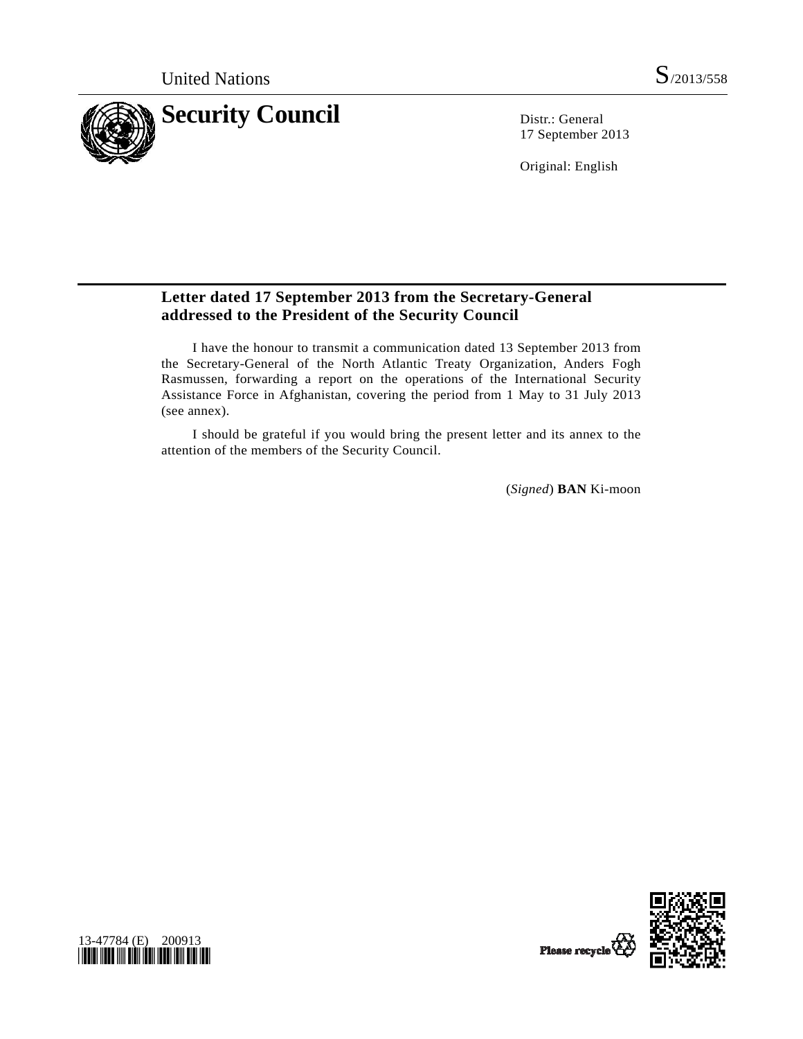

17 September 2013

Original: English

## **Letter dated 17 September 2013 from the Secretary-General addressed to the President of the Security Council**

 I have the honour to transmit a communication dated 13 September 2013 from the Secretary-General of the North Atlantic Treaty Organization, Anders Fogh Rasmussen, forwarding a report on the operations of the International Security Assistance Force in Afghanistan, covering the period from 1 May to 31 July 2013 (see annex).

 I should be grateful if you would bring the present letter and its annex to the attention of the members of the Security Council.

(*Signed*) **BAN** Ki-moon



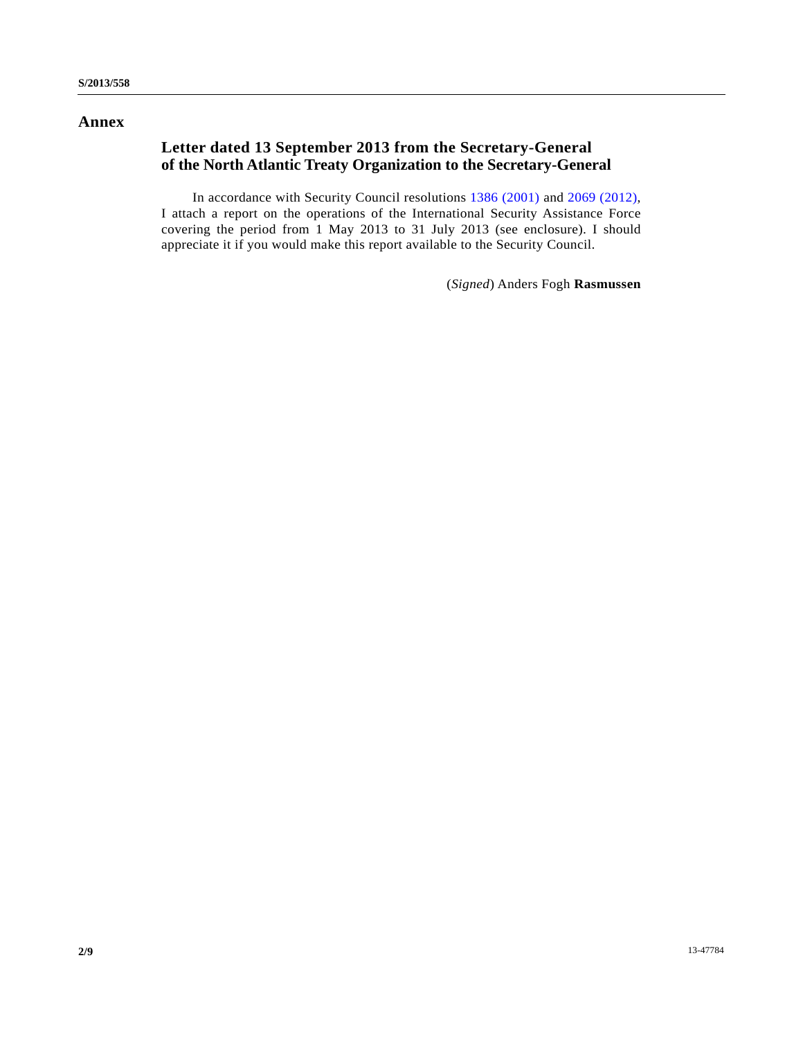### **Annex**

# **Letter dated 13 September 2013 from the Secretary-General of the North Atlantic Treaty Organization to the Secretary-General**

 In accordance with Security Council resolutions [1386 \(2001\)](http://undocs.org/S/RES/1386(2001)) and [2069 \(2012\)](http://undocs.org/S/RES/2069(2012)), I attach a report on the operations of the International Security Assistance Force covering the period from 1 May 2013 to 31 July 2013 (see enclosure). I should appreciate it if you would make this report available to the Security Council.

(*Signed*) Anders Fogh **Rasmussen**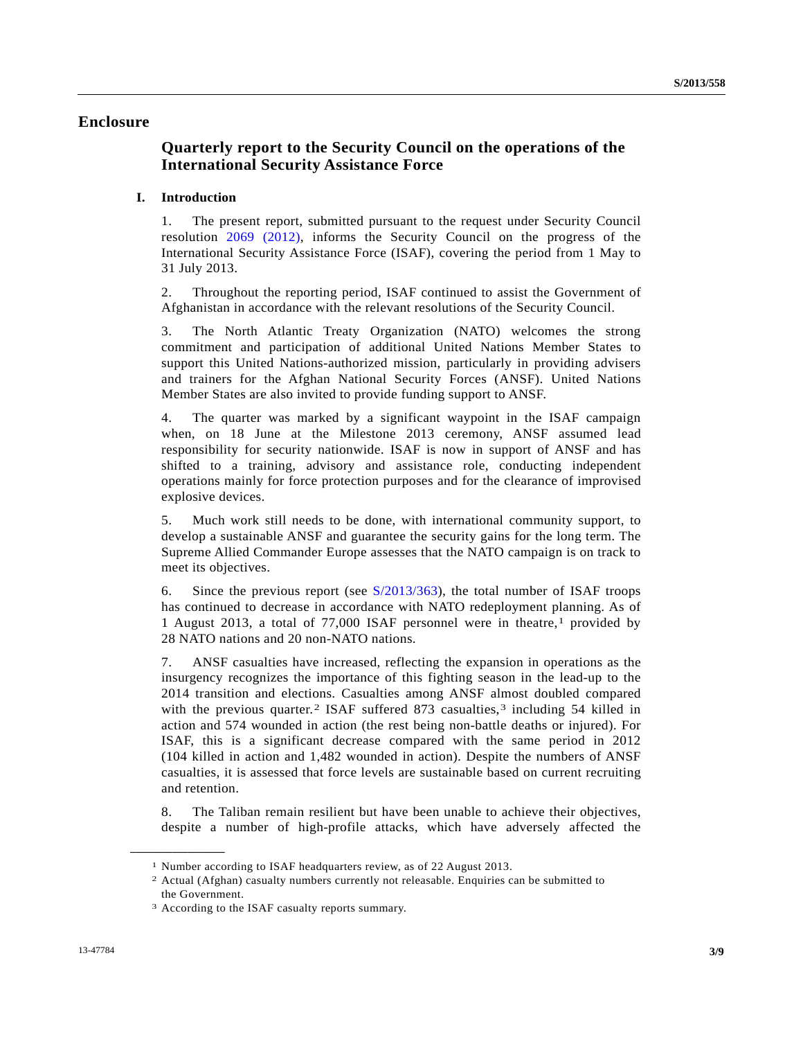### **Enclosure**

## **Quarterly report to the Security Council on the operations of the International Security Assistance Force**

#### **I. Introduction**

1. The present report, submitted pursuant to the request under Security Council resolution [2069 \(2012\)](http://undocs.org/S/RES/2069(2012)), informs the Security Council on the progress of the International Security Assistance Force (ISAF), covering the period from 1 May to 31 July 2013.

2. Throughout the reporting period, ISAF continued to assist the Government of Afghanistan in accordance with the relevant resolutions of the Security Council.

3. The North Atlantic Treaty Organization (NATO) welcomes the strong commitment and participation of additional United Nations Member States to support this United Nations-authorized mission, particularly in providing advisers and trainers for the Afghan National Security Forces (ANSF). United Nations Member States are also invited to provide funding support to ANSF.

4. The quarter was marked by a significant waypoint in the ISAF campaign when, on 18 June at the Milestone 2013 ceremony, ANSF assumed lead responsibility for security nationwide. ISAF is now in support of ANSF and has shifted to a training, advisory and assistance role, conducting independent operations mainly for force protection purposes and for the clearance of improvised explosive devices.

5. Much work still needs to be done, with international community support, to develop a sustainable ANSF and guarantee the security gains for the long term. The Supreme Allied Commander Europe assesses that the NATO campaign is on track to meet its objectives.

6. Since the previous report (see [S/2013/363\)](http://undocs.org/S/2013/363), the total number of ISAF troops has continued to decrease in accordance with NATO redeployment planning. As of 1 August 2013, a total of 77,000 ISAF personnel were in theatre,[1](#page-2-0) provided by 28 NATO nations and 20 non-NATO nations.

7. ANSF casualties have increased, reflecting the expansion in operations as the insurgency recognizes the importance of this fighting season in the lead-up to the 2014 transition and elections. Casualties among ANSF almost doubled compared with the previous quarter.<sup>2</sup> ISAF suffered 87[3](#page-2-2) casualties,<sup>3</sup> including 54 killed in action and 574 wounded in action (the rest being non-battle deaths or injured). For ISAF, this is a significant decrease compared with the same period in 2012 (104 killed in action and 1,482 wounded in action). Despite the numbers of ANSF casualties, it is assessed that force levels are sustainable based on current recruiting and retention.

8. The Taliban remain resilient but have been unable to achieve their objectives, despite a number of high-profile attacks, which have adversely affected the

<span id="page-2-2"></span><span id="page-2-1"></span><span id="page-2-0"></span>**\_\_\_\_\_\_\_\_\_\_\_\_\_\_\_\_\_\_** 

<sup>1</sup> Number according to ISAF headquarters review, as of 22 August 2013. 2 Actual (Afghan) casualty numbers currently not releasable. Enquiries can be submitted to the Government.

<sup>3</sup> According to the ISAF casualty reports summary.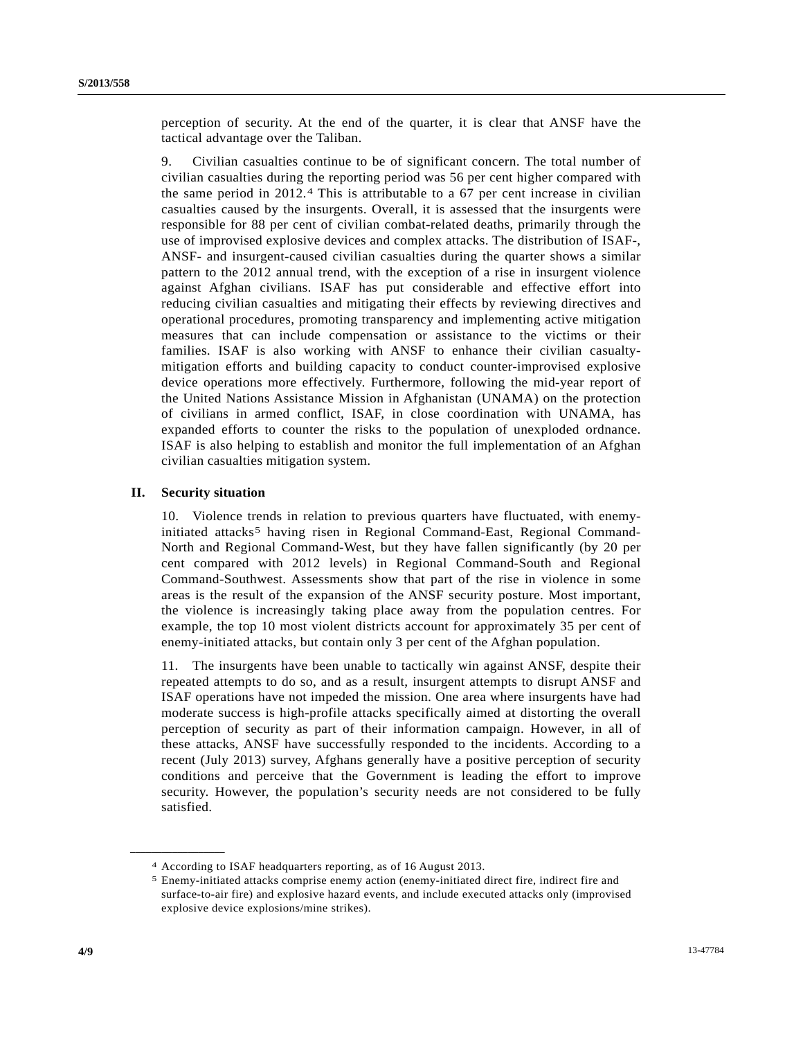perception of security. At the end of the quarter, it is clear that ANSF have the tactical advantage over the Taliban.

9. Civilian casualties continue to be of significant concern. The total number of civilian casualties during the reporting period was 56 per cent higher compared with the same period in 2012.[4](#page-3-0) This is attributable to a 67 per cent increase in civilian casualties caused by the insurgents. Overall, it is assessed that the insurgents were responsible for 88 per cent of civilian combat-related deaths, primarily through the use of improvised explosive devices and complex attacks. The distribution of ISAF-, ANSF- and insurgent-caused civilian casualties during the quarter shows a similar pattern to the 2012 annual trend, with the exception of a rise in insurgent violence against Afghan civilians. ISAF has put considerable and effective effort into reducing civilian casualties and mitigating their effects by reviewing directives and operational procedures, promoting transparency and implementing active mitigation measures that can include compensation or assistance to the victims or their families. ISAF is also working with ANSF to enhance their civilian casualtymitigation efforts and building capacity to conduct counter-improvised explosive device operations more effectively. Furthermore, following the mid-year report of the United Nations Assistance Mission in Afghanistan (UNAMA) on the protection of civilians in armed conflict, ISAF, in close coordination with UNAMA, has expanded efforts to counter the risks to the population of unexploded ordnance. ISAF is also helping to establish and monitor the full implementation of an Afghan civilian casualties mitigation system.

#### **II. Security situation**

<span id="page-3-1"></span><span id="page-3-0"></span>**\_\_\_\_\_\_\_\_\_\_\_\_\_\_\_\_\_\_** 

10. Violence trends in relation to previous quarters have fluctuated, with enemyinitiated attacks<sup>5</sup> having risen in Regional Command-East, Regional Command-North and Regional Command-West, but they have fallen significantly (by 20 per cent compared with 2012 levels) in Regional Command-South and Regional Command-Southwest. Assessments show that part of the rise in violence in some areas is the result of the expansion of the ANSF security posture. Most important, the violence is increasingly taking place away from the population centres. For example, the top 10 most violent districts account for approximately 35 per cent of enemy-initiated attacks, but contain only 3 per cent of the Afghan population.

11. The insurgents have been unable to tactically win against ANSF, despite their repeated attempts to do so, and as a result, insurgent attempts to disrupt ANSF and ISAF operations have not impeded the mission. One area where insurgents have had moderate success is high-profile attacks specifically aimed at distorting the overall perception of security as part of their information campaign. However, in all of these attacks, ANSF have successfully responded to the incidents. According to a recent (July 2013) survey, Afghans generally have a positive perception of security conditions and perceive that the Government is leading the effort to improve security. However, the population's security needs are not considered to be fully satisfied.

<sup>4</sup> According to ISAF headquarters reporting, as of 16 August 2013.<br>5 Enemy-initiated attacks comprise enemy action (enemy-initiated direct fire, indirect fire and surface-to-air fire) and explosive hazard events, and include executed attacks only (improvised explosive device explosions/mine strikes).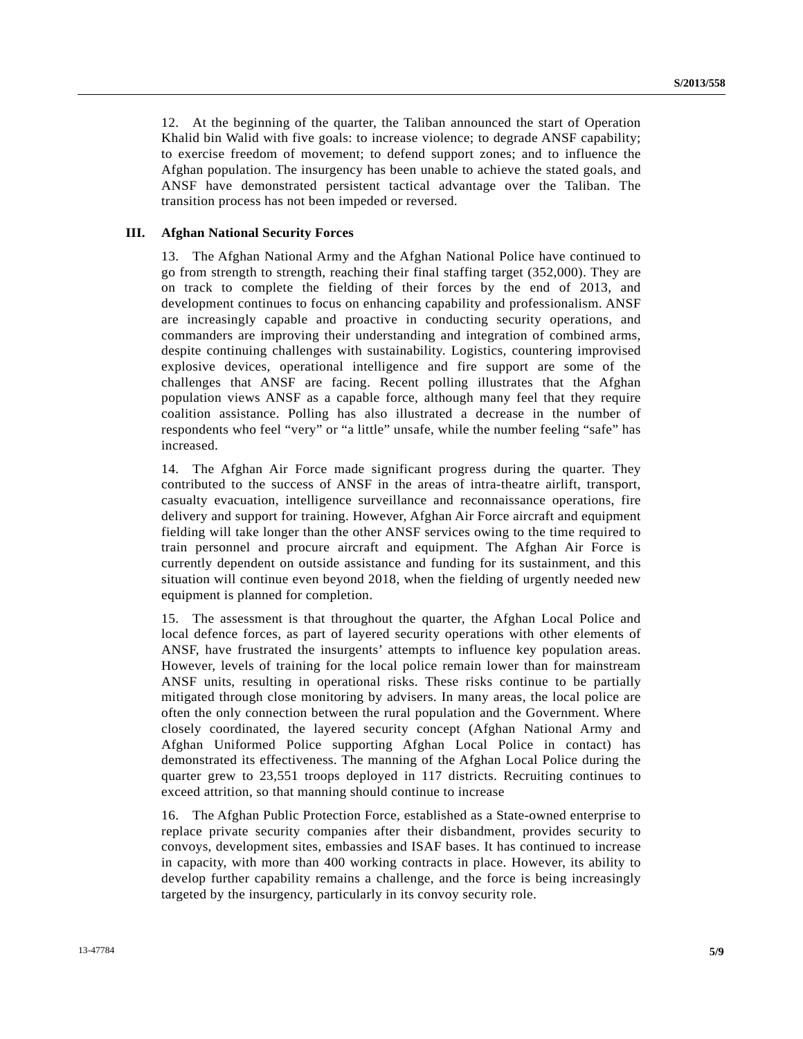12. At the beginning of the quarter, the Taliban announced the start of Operation Khalid bin Walid with five goals: to increase violence; to degrade ANSF capability; to exercise freedom of movement; to defend support zones; and to influence the Afghan population. The insurgency has been unable to achieve the stated goals, and ANSF have demonstrated persistent tactical advantage over the Taliban. The transition process has not been impeded or reversed.

#### **III. Afghan National Security Forces**

13. The Afghan National Army and the Afghan National Police have continued to go from strength to strength, reaching their final staffing target (352,000). They are on track to complete the fielding of their forces by the end of 2013, and development continues to focus on enhancing capability and professionalism. ANSF are increasingly capable and proactive in conducting security operations, and commanders are improving their understanding and integration of combined arms, despite continuing challenges with sustainability. Logistics, countering improvised explosive devices, operational intelligence and fire support are some of the challenges that ANSF are facing. Recent polling illustrates that the Afghan population views ANSF as a capable force, although many feel that they require coalition assistance. Polling has also illustrated a decrease in the number of respondents who feel "very" or "a little" unsafe, while the number feeling "safe" has increased.

14. The Afghan Air Force made significant progress during the quarter. They contributed to the success of ANSF in the areas of intra-theatre airlift, transport, casualty evacuation, intelligence surveillance and reconnaissance operations, fire delivery and support for training. However, Afghan Air Force aircraft and equipment fielding will take longer than the other ANSF services owing to the time required to train personnel and procure aircraft and equipment. The Afghan Air Force is currently dependent on outside assistance and funding for its sustainment, and this situation will continue even beyond 2018, when the fielding of urgently needed new equipment is planned for completion.

15. The assessment is that throughout the quarter, the Afghan Local Police and local defence forces, as part of layered security operations with other elements of ANSF, have frustrated the insurgents' attempts to influence key population areas. However, levels of training for the local police remain lower than for mainstream ANSF units, resulting in operational risks. These risks continue to be partially mitigated through close monitoring by advisers. In many areas, the local police are often the only connection between the rural population and the Government. Where closely coordinated, the layered security concept (Afghan National Army and Afghan Uniformed Police supporting Afghan Local Police in contact) has demonstrated its effectiveness. The manning of the Afghan Local Police during the quarter grew to 23,551 troops deployed in 117 districts. Recruiting continues to exceed attrition, so that manning should continue to increase

16. The Afghan Public Protection Force, established as a State-owned enterprise to replace private security companies after their disbandment, provides security to convoys, development sites, embassies and ISAF bases. It has continued to increase in capacity, with more than 400 working contracts in place. However, its ability to develop further capability remains a challenge, and the force is being increasingly targeted by the insurgency, particularly in its convoy security role.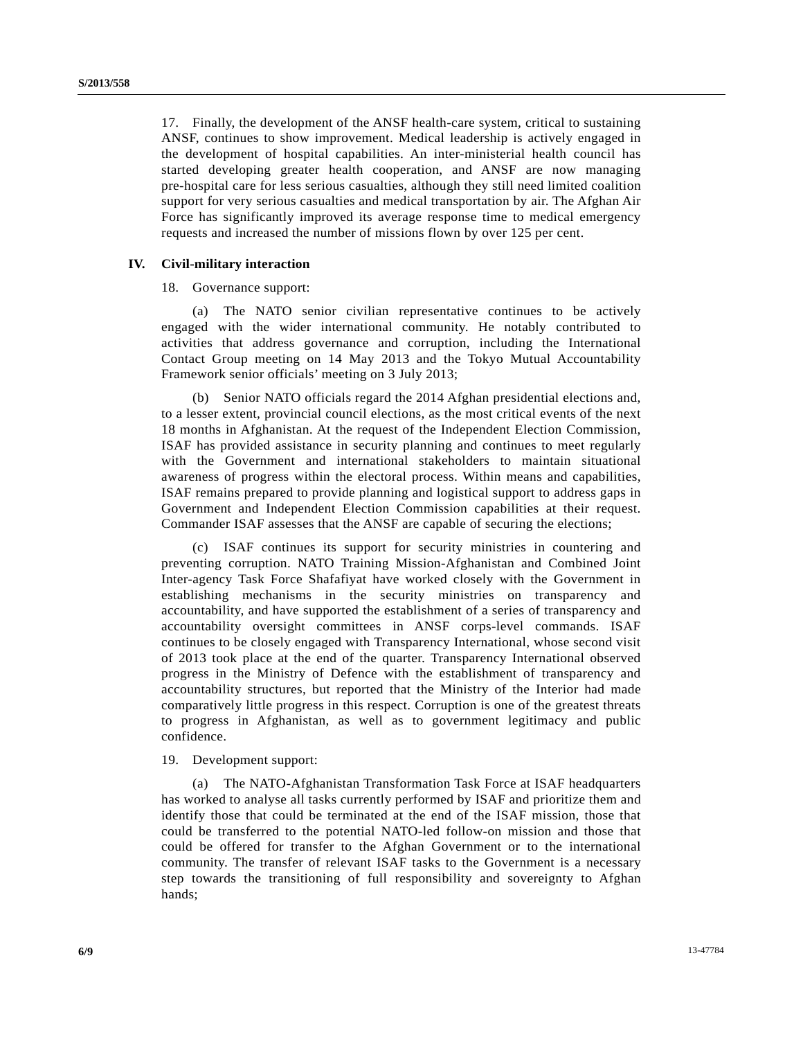17. Finally, the development of the ANSF health-care system, critical to sustaining ANSF, continues to show improvement. Medical leadership is actively engaged in the development of hospital capabilities. An inter-ministerial health council has started developing greater health cooperation, and ANSF are now managing pre-hospital care for less serious casualties, although they still need limited coalition support for very serious casualties and medical transportation by air. The Afghan Air Force has significantly improved its average response time to medical emergency requests and increased the number of missions flown by over 125 per cent.

#### **IV. Civil-military interaction**

18. Governance support:

 (a) The NATO senior civilian representative continues to be actively engaged with the wider international community. He notably contributed to activities that address governance and corruption, including the International Contact Group meeting on 14 May 2013 and the Tokyo Mutual Accountability Framework senior officials' meeting on 3 July 2013;

 (b) Senior NATO officials regard the 2014 Afghan presidential elections and, to a lesser extent, provincial council elections, as the most critical events of the next 18 months in Afghanistan. At the request of the Independent Election Commission, ISAF has provided assistance in security planning and continues to meet regularly with the Government and international stakeholders to maintain situational awareness of progress within the electoral process. Within means and capabilities, ISAF remains prepared to provide planning and logistical support to address gaps in Government and Independent Election Commission capabilities at their request. Commander ISAF assesses that the ANSF are capable of securing the elections;

 (c) ISAF continues its support for security ministries in countering and preventing corruption. NATO Training Mission-Afghanistan and Combined Joint Inter-agency Task Force Shafafiyat have worked closely with the Government in establishing mechanisms in the security ministries on transparency and accountability, and have supported the establishment of a series of transparency and accountability oversight committees in ANSF corps-level commands. ISAF continues to be closely engaged with Transparency International, whose second visit of 2013 took place at the end of the quarter. Transparency International observed progress in the Ministry of Defence with the establishment of transparency and accountability structures, but reported that the Ministry of the Interior had made comparatively little progress in this respect. Corruption is one of the greatest threats to progress in Afghanistan, as well as to government legitimacy and public confidence.

#### 19. Development support:

 (a) The NATO-Afghanistan Transformation Task Force at ISAF headquarters has worked to analyse all tasks currently performed by ISAF and prioritize them and identify those that could be terminated at the end of the ISAF mission, those that could be transferred to the potential NATO-led follow-on mission and those that could be offered for transfer to the Afghan Government or to the international community. The transfer of relevant ISAF tasks to the Government is a necessary step towards the transitioning of full responsibility and sovereignty to Afghan hands;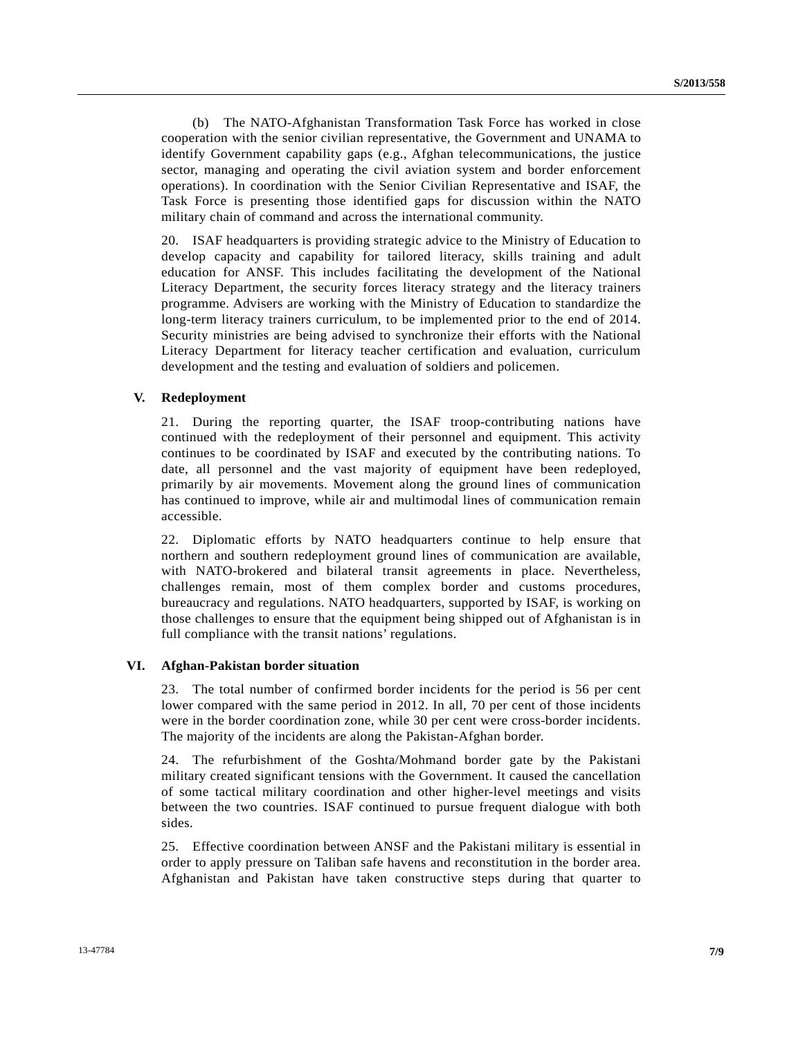(b) The NATO-Afghanistan Transformation Task Force has worked in close cooperation with the senior civilian representative, the Government and UNAMA to identify Government capability gaps (e.g., Afghan telecommunications, the justice sector, managing and operating the civil aviation system and border enforcement operations). In coordination with the Senior Civilian Representative and ISAF, the Task Force is presenting those identified gaps for discussion within the NATO military chain of command and across the international community.

20. ISAF headquarters is providing strategic advice to the Ministry of Education to develop capacity and capability for tailored literacy, skills training and adult education for ANSF. This includes facilitating the development of the National Literacy Department, the security forces literacy strategy and the literacy trainers programme. Advisers are working with the Ministry of Education to standardize the long-term literacy trainers curriculum, to be implemented prior to the end of 2014. Security ministries are being advised to synchronize their efforts with the National Literacy Department for literacy teacher certification and evaluation, curriculum development and the testing and evaluation of soldiers and policemen.

#### **V. Redeployment**

21. During the reporting quarter, the ISAF troop-contributing nations have continued with the redeployment of their personnel and equipment. This activity continues to be coordinated by ISAF and executed by the contributing nations. To date, all personnel and the vast majority of equipment have been redeployed, primarily by air movements. Movement along the ground lines of communication has continued to improve, while air and multimodal lines of communication remain accessible.

22. Diplomatic efforts by NATO headquarters continue to help ensure that northern and southern redeployment ground lines of communication are available, with NATO-brokered and bilateral transit agreements in place. Nevertheless, challenges remain, most of them complex border and customs procedures, bureaucracy and regulations. NATO headquarters, supported by ISAF, is working on those challenges to ensure that the equipment being shipped out of Afghanistan is in full compliance with the transit nations' regulations.

#### **VI. Afghan-Pakistan border situation**

23. The total number of confirmed border incidents for the period is 56 per cent lower compared with the same period in 2012. In all, 70 per cent of those incidents were in the border coordination zone, while 30 per cent were cross-border incidents. The majority of the incidents are along the Pakistan-Afghan border.

24. The refurbishment of the Goshta/Mohmand border gate by the Pakistani military created significant tensions with the Government. It caused the cancellation of some tactical military coordination and other higher-level meetings and visits between the two countries. ISAF continued to pursue frequent dialogue with both sides.

25. Effective coordination between ANSF and the Pakistani military is essential in order to apply pressure on Taliban safe havens and reconstitution in the border area. Afghanistan and Pakistan have taken constructive steps during that quarter to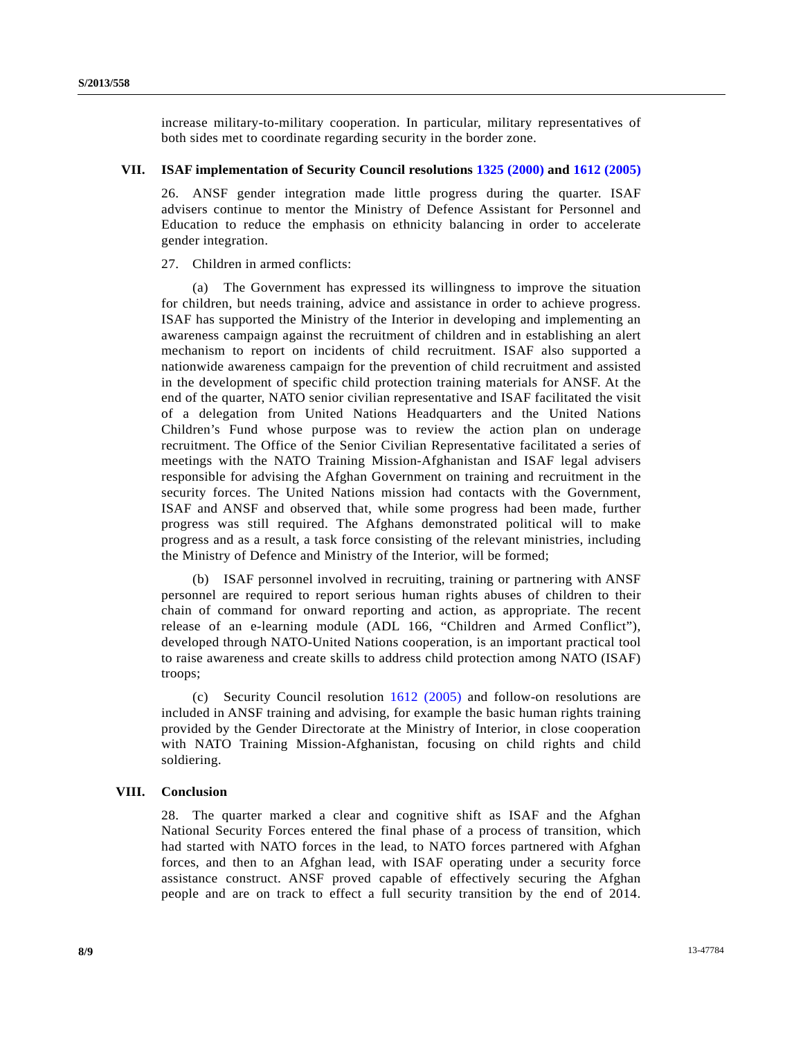increase military-to-military cooperation. In particular, military representatives of both sides met to coordinate regarding security in the border zone.

#### **VII. ISAF implementation of Security Council resolutions [1325 \(2000\)](http://undocs.org/S/RES/1325(2001)) and [1612 \(2005\)](http://undocs.org/S/RES/1612(2005))**

26. ANSF gender integration made little progress during the quarter. ISAF advisers continue to mentor the Ministry of Defence Assistant for Personnel and Education to reduce the emphasis on ethnicity balancing in order to accelerate gender integration.

27. Children in armed conflicts:

 (a) The Government has expressed its willingness to improve the situation for children, but needs training, advice and assistance in order to achieve progress. ISAF has supported the Ministry of the Interior in developing and implementing an awareness campaign against the recruitment of children and in establishing an alert mechanism to report on incidents of child recruitment. ISAF also supported a nationwide awareness campaign for the prevention of child recruitment and assisted in the development of specific child protection training materials for ANSF. At the end of the quarter, NATO senior civilian representative and ISAF facilitated the visit of a delegation from United Nations Headquarters and the United Nations Children's Fund whose purpose was to review the action plan on underage recruitment. The Office of the Senior Civilian Representative facilitated a series of meetings with the NATO Training Mission-Afghanistan and ISAF legal advisers responsible for advising the Afghan Government on training and recruitment in the security forces. The United Nations mission had contacts with the Government, ISAF and ANSF and observed that, while some progress had been made, further progress was still required. The Afghans demonstrated political will to make progress and as a result, a task force consisting of the relevant ministries, including the Ministry of Defence and Ministry of the Interior, will be formed;

 (b) ISAF personnel involved in recruiting, training or partnering with ANSF personnel are required to report serious human rights abuses of children to their chain of command for onward reporting and action, as appropriate. The recent release of an e-learning module (ADL 166, "Children and Armed Conflict"), developed through NATO-United Nations cooperation, is an important practical tool to raise awareness and create skills to address child protection among NATO (ISAF) troops;

 (c) Security Council resolution [1612 \(2005\)](http://undocs.org/S/RES/1612(2005)) and follow-on resolutions are included in ANSF training and advising, for example the basic human rights training provided by the Gender Directorate at the Ministry of Interior, in close cooperation with NATO Training Mission-Afghanistan, focusing on child rights and child soldiering.

#### **VIII. Conclusion**

28. The quarter marked a clear and cognitive shift as ISAF and the Afghan National Security Forces entered the final phase of a process of transition, which had started with NATO forces in the lead, to NATO forces partnered with Afghan forces, and then to an Afghan lead, with ISAF operating under a security force assistance construct. ANSF proved capable of effectively securing the Afghan people and are on track to effect a full security transition by the end of 2014.